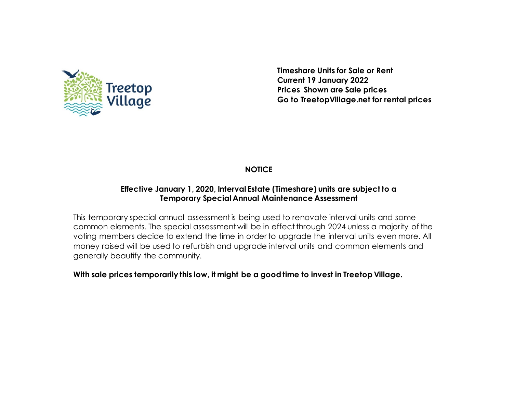

**Timeshare Units for Sale or Rent Current 19 January 2022 Prices Shown are Sale prices Go to TreetopVillage.net for rental prices**

## **NOTICE**

### **Effective January 1, 2020, Interval Estate (Timeshare) units are subject to a Temporary Special Annual Maintenance Assessment**

This temporary special annual assessment is being used to renovate interval units and some common elements. The special assessment will be in effect through 2024 unless a majority of the voting members decide to extend the time in order to upgrade the interval units even more. All money raised will be used to refurbish and upgrade interval units and common elements and generally beautify the community.

#### **With sale prices temporarily this low, it might be a good time to invest in Treetop Village.**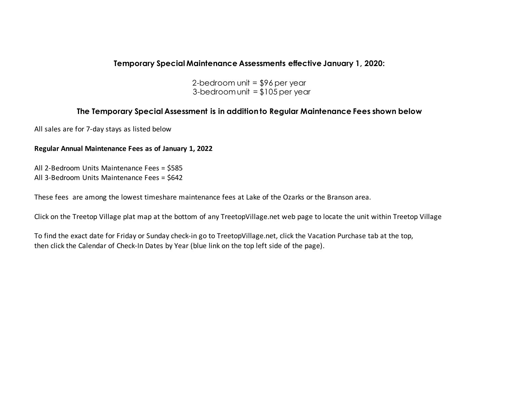#### **Temporary Special Maintenance Assessments effective January 1, 2020:**

2-bedroom unit  $=$  \$96 per year 3-bedroom unit  $= $105$  per year

#### **The Temporary Special Assessment is in addition to Regular Maintenance Fees shown below**

All sales are for 7-day stays as listed below

#### **Regular Annual Maintenance Fees as of January 1, 2022**

All 2-Bedroom Units Maintenance Fees = \$585 All 3-Bedroom Units Maintenance Fees = \$642

These fees are among the lowest timeshare maintenance fees at Lake of the Ozarks or the Branson area.

Click on the Treetop Village plat map at the bottom of any TreetopVillage.net web page to locate the unit within Treetop Village

To find the exact date for Friday or Sunday check-in go to TreetopVillage.net, click the Vacation Purchase tab at the top, then click the Calendar of Check-In Dates by Year (blue link on the top left side of the page).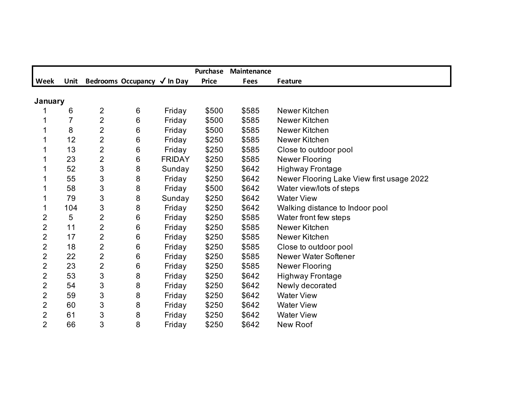|                |             |                |                             |               | <b>Purchase</b> | <b>Maintenance</b> |                                           |
|----------------|-------------|----------------|-----------------------------|---------------|-----------------|--------------------|-------------------------------------------|
| Week           | <b>Unit</b> |                | Bedrooms Occupancy √ In Day |               | <b>Price</b>    | <b>Fees</b>        | <b>Feature</b>                            |
|                |             |                |                             |               |                 |                    |                                           |
| January        |             |                |                             |               |                 |                    |                                           |
|                | 6           | $\overline{2}$ | 6                           | Friday        | \$500           | \$585              | Newer Kitchen                             |
|                | 7           | $\overline{2}$ | 6                           | Friday        | \$500           | \$585              | Newer Kitchen                             |
|                | 8           | $\overline{2}$ | 6                           | Friday        | \$500           | \$585              | Newer Kitchen                             |
|                | 12          | 2              | 6                           | Friday        | \$250           | \$585              | Newer Kitchen                             |
|                | 13          | $\overline{2}$ | 6                           | Friday        | \$250           | \$585              | Close to outdoor pool                     |
|                | 23          | $\overline{2}$ | 6                           | <b>FRIDAY</b> | \$250           | \$585              | Newer Flooring                            |
|                | 52          | 3              | 8                           | Sunday        | \$250           | \$642              | <b>Highway Frontage</b>                   |
|                | 55          | 3              | 8                           | Friday        | \$250           | \$642              | Newer Flooring Lake View first usage 2022 |
|                | 58          | 3              | 8                           | Friday        | \$500           | \$642              | Water view/lots of steps                  |
|                | 79          | 3              | 8                           | Sunday        | \$250           | \$642              | <b>Water View</b>                         |
| 1              | 104         | $\mathfrak{S}$ | 8                           | Friday        | \$250           | \$642              | Walking distance to Indoor pool           |
| $\overline{2}$ | 5           | $\overline{2}$ | 6                           | Friday        | \$250           | \$585              | Water front few steps                     |
| $\overline{2}$ | 11          | 2              | 6                           | Friday        | \$250           | \$585              | Newer Kitchen                             |
| $\overline{2}$ | 17          | 2              | 6                           | Friday        | \$250           | \$585              | Newer Kitchen                             |
| $\overline{2}$ | 18          | $\overline{2}$ | 6                           | Friday        | \$250           | \$585              | Close to outdoor pool                     |
| $\overline{2}$ | 22          | $\overline{2}$ | 6                           | Friday        | \$250           | \$585              | <b>Newer Water Softener</b>               |
| $\overline{2}$ | 23          | $\overline{2}$ | 6                           | Friday        | \$250           | \$585              | Newer Flooring                            |
| $\overline{2}$ | 53          | 3              | 8                           | Friday        | \$250           | \$642              | <b>Highway Frontage</b>                   |
| $\overline{2}$ | 54          | 3              | 8                           | Friday        | \$250           | \$642              | Newly decorated                           |
| 2              | 59          | 3              | 8                           | Friday        | \$250           | \$642              | <b>Water View</b>                         |
| $\overline{2}$ | 60          | 3              | 8                           | Friday        | \$250           | \$642              | <b>Water View</b>                         |
| $\overline{2}$ | 61          | 3              | 8                           | Friday        | \$250           | \$642              | <b>Water View</b>                         |
| $\overline{2}$ | 66          | 3              | 8                           | Friday        | \$250           | \$642              | <b>New Roof</b>                           |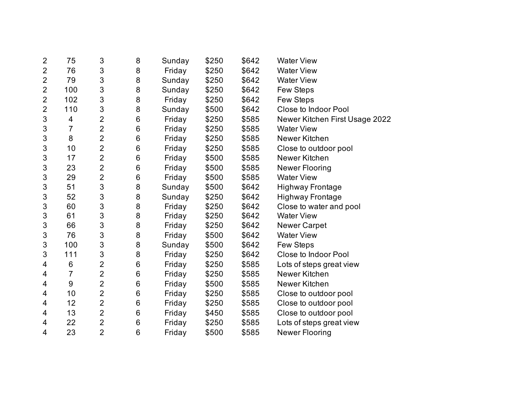| $\overline{2}$ | 75    | 3              | 8     | Sunday | \$250 | \$642 | <b>Water View</b>              |
|----------------|-------|----------------|-------|--------|-------|-------|--------------------------------|
| $\overline{2}$ | 76    | 3              | 8     | Friday | \$250 | \$642 | <b>Water View</b>              |
| $\overline{2}$ | 79    | 3              | 8     | Sunday | \$250 | \$642 | <b>Water View</b>              |
| $\overline{2}$ | 100   | 3              | 8     | Sunday | \$250 | \$642 | <b>Few Steps</b>               |
| $\overline{2}$ | 102   | 3              | 8     | Friday | \$250 | \$642 | Few Steps                      |
| $\overline{2}$ | 110   | 3              | 8     | Sunday | \$500 | \$642 | <b>Close to Indoor Pool</b>    |
| 3              | 4     | $\overline{2}$ | 6     | Friday | \$250 | \$585 | Newer Kitchen First Usage 2022 |
| 3              | 7     | $\overline{2}$ | 6     | Friday | \$250 | \$585 | <b>Water View</b>              |
| 3              | 8     | $\overline{2}$ | $\,6$ | Friday | \$250 | \$585 | Newer Kitchen                  |
| 3              | 10    | $\overline{2}$ | 6     | Friday | \$250 | \$585 | Close to outdoor pool          |
| 3              | 17    | $\overline{2}$ | $\,6$ | Friday | \$500 | \$585 | Newer Kitchen                  |
| 3              | 23    | $\overline{2}$ | $\,6$ | Friday | \$500 | \$585 | Newer Flooring                 |
| 3              | 29    | $\overline{2}$ | 6     | Friday | \$500 | \$585 | <b>Water View</b>              |
| $\sqrt{3}$     | 51    | 3              | 8     | Sunday | \$500 | \$642 | <b>Highway Frontage</b>        |
| 3              | 52    | 3              | 8     | Sunday | \$250 | \$642 | <b>Highway Frontage</b>        |
| 3              | 60    | 3              | 8     | Friday | \$250 | \$642 | Close to water and pool        |
| 3              | 61    | 3              | 8     | Friday | \$250 | \$642 | <b>Water View</b>              |
| 3              | 66    | 3              | 8     | Friday | \$250 | \$642 | <b>Newer Carpet</b>            |
| 3              | 76    | 3              | 8     | Friday | \$500 | \$642 | <b>Water View</b>              |
| $\sqrt{3}$     | 100   | 3              | 8     | Sunday | \$500 | \$642 | Few Steps                      |
| 3              | 111   | 3              | 8     | Friday | \$250 | \$642 | <b>Close to Indoor Pool</b>    |
| 4              | 6     | $\overline{2}$ | 6     | Friday | \$250 | \$585 | Lots of steps great view       |
| 4              | 7     | $\overline{2}$ | 6     | Friday | \$250 | \$585 | Newer Kitchen                  |
| 4              | $9\,$ | $\overline{2}$ | 6     | Friday | \$500 | \$585 | Newer Kitchen                  |
| 4              | 10    | $\overline{2}$ | 6     | Friday | \$250 | \$585 | Close to outdoor pool          |
| 4              | 12    | $\overline{2}$ | 6     | Friday | \$250 | \$585 | Close to outdoor pool          |
| 4              | 13    | $\overline{2}$ | 6     | Friday | \$450 | \$585 | Close to outdoor pool          |
| 4              | 22    | $\overline{2}$ | 6     | Friday | \$250 | \$585 | Lots of steps great view       |
| 4              | 23    | $\overline{2}$ | 6     | Friday | \$500 | \$585 | <b>Newer Flooring</b>          |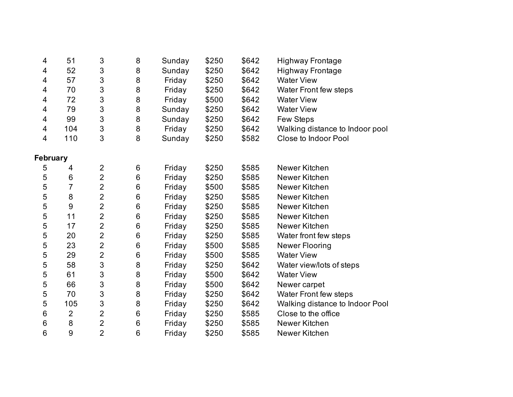| 4        | 51             | 3                         | 8       | Sunday | \$250 | \$642 | <b>Highway Frontage</b>         |
|----------|----------------|---------------------------|---------|--------|-------|-------|---------------------------------|
| 4        | 52             | $\ensuremath{\mathsf{3}}$ | 8       | Sunday | \$250 | \$642 | <b>Highway Frontage</b>         |
| 4        | 57             | 3                         | $\bf 8$ | Friday | \$250 | \$642 | <b>Water View</b>               |
| 4        | 70             | 3                         | 8       | Friday | \$250 | \$642 | Water Front few steps           |
| 4        | 72             | $\sqrt{3}$                | 8       | Friday | \$500 | \$642 | <b>Water View</b>               |
| 4        | 79             | 3                         | 8       | Sunday | \$250 | \$642 | <b>Water View</b>               |
| 4        | 99             | 3                         | 8       | Sunday | \$250 | \$642 | Few Steps                       |
| 4        | 104            | $\sqrt{3}$                | 8       | Friday | \$250 | \$642 | Walking distance to Indoor pool |
| 4        | 110            | 3                         | 8       | Sunday | \$250 | \$582 | Close to Indoor Pool            |
| February |                |                           |         |        |       |       |                                 |
| 5        | 4              | $\overline{2}$            | 6       | Friday | \$250 | \$585 | Newer Kitchen                   |
| 5        | 6              | $\overline{2}$            | 6       | Friday | \$250 | \$585 | Newer Kitchen                   |
| 5        | 7              | $\overline{2}$            | 6       | Friday | \$500 | \$585 | Newer Kitchen                   |
| 5        | 8              | $\overline{2}$            | 6       | Friday | \$250 | \$585 | Newer Kitchen                   |
| 5        | 9              | $\overline{2}$            | 6       | Friday | \$250 | \$585 | Newer Kitchen                   |
| 5        | 11             | $\overline{2}$            | 6       | Friday | \$250 | \$585 | Newer Kitchen                   |
| 5        | 17             | $\overline{2}$            | 6       | Friday | \$250 | \$585 | Newer Kitchen                   |
| 5        | 20             | $\overline{2}$            | 6       | Friday | \$250 | \$585 | Water front few steps           |
| 5        | 23             | $\overline{2}$            | 6       | Friday | \$500 | \$585 | <b>Newer Flooring</b>           |
| 5        | 29             | $\overline{2}$            | 6       | Friday | \$500 | \$585 | <b>Water View</b>               |
| 5        | 58             | 3                         | 8       | Friday | \$250 | \$642 | Water view/lots of steps        |
| 5        | 61             | $\mathfrak{S}$            | $\bf 8$ | Friday | \$500 | \$642 | <b>Water View</b>               |
| 5        | 66             | $\mathfrak{S}$            | 8       | Friday | \$500 | \$642 | Newer carpet                    |
| 5        | 70             | 3                         | 8       | Friday | \$250 | \$642 | <b>Water Front few steps</b>    |
| 5        | 105            | $\mathfrak{S}$            | 8       | Friday | \$250 | \$642 | Walking distance to Indoor Pool |
| 6        | $\overline{2}$ | $\overline{2}$            | $\,6$   | Friday | \$250 | \$585 | Close to the office             |
| 6        | 8              | $\overline{2}$            | 6       | Friday | \$250 | \$585 | Newer Kitchen                   |
| 6        | 9              | $\overline{2}$            | 6       | Friday | \$250 | \$585 | Newer Kitchen                   |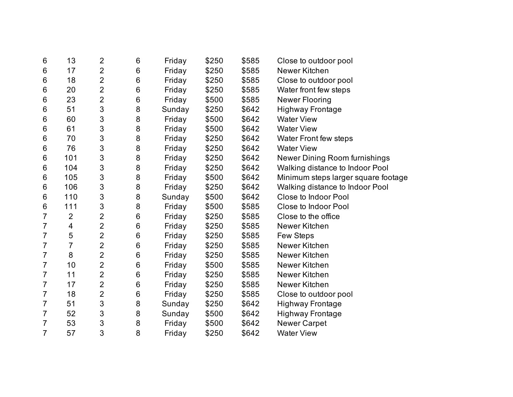| $6\phantom{1}6$ | 13             | $\overline{2}$ | 6       | Friday | \$250 | \$585 | Close to outdoor pool               |
|-----------------|----------------|----------------|---------|--------|-------|-------|-------------------------------------|
| 6               | 17             | $\overline{2}$ | 6       | Friday | \$250 | \$585 | Newer Kitchen                       |
| 6               | 18             | $\overline{2}$ | 6       | Friday | \$250 | \$585 | Close to outdoor pool               |
| 6               | 20             | $\overline{2}$ | $\,6$   | Friday | \$250 | \$585 | Water front few steps               |
| 6               | 23             | $\overline{2}$ | 6       | Friday | \$500 | \$585 | Newer Flooring                      |
| $6\,$           | 51             | 3              | 8       | Sunday | \$250 | \$642 | <b>Highway Frontage</b>             |
| 6               | 60             | 3              | 8       | Friday | \$500 | \$642 | <b>Water View</b>                   |
| 6               | 61             | 3              | 8       | Friday | \$500 | \$642 | <b>Water View</b>                   |
| 6               | 70             | 3              | 8       | Friday | \$250 | \$642 | <b>Water Front few steps</b>        |
| 6               | 76             | 3              | 8       | Friday | \$250 | \$642 | <b>Water View</b>                   |
| 6               | 101            | 3              | 8       | Friday | \$250 | \$642 | Newer Dining Room furnishings       |
| 6               | 104            | 3              | 8       | Friday | \$250 | \$642 | Walking distance to Indoor Pool     |
| 6               | 105            | 3              | 8       | Friday | \$500 | \$642 | Minimum steps larger square footage |
| 6               | 106            | 3              | 8       | Friday | \$250 | \$642 | Walking distance to Indoor Pool     |
| 6               | 110            | 3              | 8       | Sunday | \$500 | \$642 | <b>Close to Indoor Pool</b>         |
| 6               | 111            | 3              | 8       | Friday | \$500 | \$585 | Close to Indoor Pool                |
| 7               | $\overline{2}$ | $\overline{2}$ | 6       | Friday | \$250 | \$585 | Close to the office                 |
| 7               | 4              | $\overline{2}$ | 6       | Friday | \$250 | \$585 | Newer Kitchen                       |
| 7               | 5              | $\overline{c}$ | $\,6$   | Friday | \$250 | \$585 | <b>Few Steps</b>                    |
| 7               | 7              | $\overline{2}$ | 6       | Friday | \$250 | \$585 | Newer Kitchen                       |
| $\overline{7}$  | 8              | $\overline{2}$ | 6       | Friday | \$250 | \$585 | Newer Kitchen                       |
| $\overline{7}$  | 10             | $\overline{2}$ | 6       | Friday | \$500 | \$585 | Newer Kitchen                       |
| $\overline{7}$  | 11             | $\overline{2}$ | 6       | Friday | \$250 | \$585 | Newer Kitchen                       |
| 7               | 17             | $\overline{2}$ | 6       | Friday | \$250 | \$585 | Newer Kitchen                       |
| $\overline{7}$  | 18             | $\overline{2}$ | 6       | Friday | \$250 | \$585 | Close to outdoor pool               |
| 7               | 51             | 3              | $\,8\,$ | Sunday | \$250 | \$642 | <b>Highway Frontage</b>             |
| $\overline{7}$  | 52             | 3              | 8       | Sunday | \$500 | \$642 | <b>Highway Frontage</b>             |
| $\overline{7}$  | 53             | 3              | 8       | Friday | \$500 | \$642 | <b>Newer Carpet</b>                 |
| 7               | 57             | 3              | 8       | Friday | \$250 | \$642 | <b>Water View</b>                   |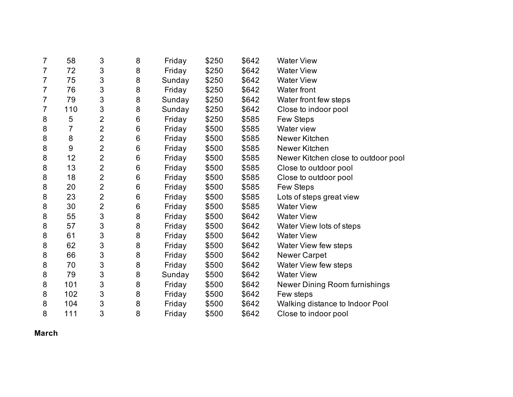| 7 | 58  | 3              | 8 | Friday | \$250 | \$642 | <b>Water View</b>                   |
|---|-----|----------------|---|--------|-------|-------|-------------------------------------|
| 7 | 72  | 3              | 8 | Friday | \$250 | \$642 | <b>Water View</b>                   |
| 7 | 75  | 3              | 8 | Sunday | \$250 | \$642 | <b>Water View</b>                   |
| 7 | 76  | 3              | 8 | Friday | \$250 | \$642 | <b>Water front</b>                  |
| 7 | 79  | 3              | 8 | Sunday | \$250 | \$642 | Water front few steps               |
| 7 | 110 | 3              | 8 | Sunday | \$250 | \$642 | Close to indoor pool                |
| 8 | 5   | $\overline{2}$ | 6 | Friday | \$250 | \$585 | Few Steps                           |
| 8 | 7   | $\overline{2}$ | 6 | Friday | \$500 | \$585 | Water view                          |
| 8 | 8   | $\overline{2}$ | 6 | Friday | \$500 | \$585 | Newer Kitchen                       |
| 8 | 9   | $\overline{2}$ | 6 | Friday | \$500 | \$585 | Newer Kitchen                       |
| 8 | 12  | $\overline{2}$ | 6 | Friday | \$500 | \$585 | Newer Kitchen close to outdoor pool |
| 8 | 13  | $\overline{2}$ | 6 | Friday | \$500 | \$585 | Close to outdoor pool               |
| 8 | 18  | $\overline{2}$ | 6 | Friday | \$500 | \$585 | Close to outdoor pool               |
| 8 | 20  | $\overline{2}$ | 6 | Friday | \$500 | \$585 | Few Steps                           |
| 8 | 23  | $\overline{2}$ | 6 | Friday | \$500 | \$585 | Lots of steps great view            |
| 8 | 30  | $\overline{2}$ | 6 | Friday | \$500 | \$585 | <b>Water View</b>                   |
| 8 | 55  | 3              | 8 | Friday | \$500 | \$642 | <b>Water View</b>                   |
| 8 | 57  | 3              | 8 | Friday | \$500 | \$642 | Water View lots of steps            |
| 8 | 61  | 3              | 8 | Friday | \$500 | \$642 | <b>Water View</b>                   |
| 8 | 62  | $\sqrt{3}$     | 8 | Friday | \$500 | \$642 | Water View few steps                |
| 8 | 66  | 3              | 8 | Friday | \$500 | \$642 | <b>Newer Carpet</b>                 |
| 8 | 70  | 3              | 8 | Friday | \$500 | \$642 | Water View few steps                |
| 8 | 79  | 3              | 8 | Sunday | \$500 | \$642 | <b>Water View</b>                   |
| 8 | 101 | 3              | 8 | Friday | \$500 | \$642 | Newer Dining Room furnishings       |
| 8 | 102 | $\sqrt{3}$     | 8 | Friday | \$500 | \$642 | Few steps                           |
| 8 | 104 | 3              | 8 | Friday | \$500 | \$642 | Walking distance to Indoor Pool     |
| 8 | 111 | 3              | 8 | Friday | \$500 | \$642 | Close to indoor pool                |

**March**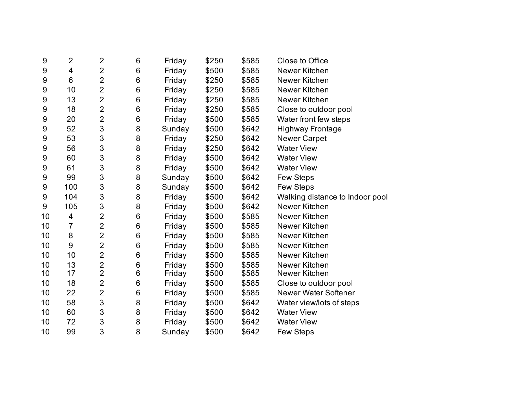| 9  | $\overline{2}$ | $\overline{2}$ | 6 | Friday | \$250 | \$585 | Close to Office                 |
|----|----------------|----------------|---|--------|-------|-------|---------------------------------|
| 9  | 4              | $\overline{2}$ | 6 | Friday | \$500 | \$585 | Newer Kitchen                   |
| 9  | 6              | $\overline{2}$ | 6 | Friday | \$250 | \$585 | Newer Kitchen                   |
| 9  | 10             | $\overline{2}$ | 6 | Friday | \$250 | \$585 | Newer Kitchen                   |
| 9  | 13             | $\overline{2}$ | 6 | Friday | \$250 | \$585 | Newer Kitchen                   |
| 9  | 18             | $\overline{2}$ | 6 | Friday | \$250 | \$585 | Close to outdoor pool           |
| 9  | 20             | $\overline{2}$ | 6 | Friday | \$500 | \$585 | Water front few steps           |
| 9  | 52             | 3              | 8 | Sunday | \$500 | \$642 | <b>Highway Frontage</b>         |
| 9  | 53             | 3              | 8 | Friday | \$250 | \$642 | <b>Newer Carpet</b>             |
| 9  | 56             | 3              | 8 | Friday | \$250 | \$642 | <b>Water View</b>               |
| 9  | 60             | 3              | 8 | Friday | \$500 | \$642 | <b>Water View</b>               |
| 9  | 61             | 3              | 8 | Friday | \$500 | \$642 | <b>Water View</b>               |
| 9  | 99             | 3              | 8 | Sunday | \$500 | \$642 | Few Steps                       |
| 9  | 100            | 3              | 8 | Sunday | \$500 | \$642 | <b>Few Steps</b>                |
| 9  | 104            | 3              | 8 | Friday | \$500 | \$642 | Walking distance to Indoor pool |
| 9  | 105            | 3              | 8 | Friday | \$500 | \$642 | Newer Kitchen                   |
| 10 | 4              | $\overline{2}$ | 6 | Friday | \$500 | \$585 | Newer Kitchen                   |
| 10 | 7              | $\overline{2}$ | 6 | Friday | \$500 | \$585 | Newer Kitchen                   |
| 10 | 8              | $\overline{2}$ | 6 | Friday | \$500 | \$585 | Newer Kitchen                   |
| 10 | 9              | $\overline{2}$ | 6 | Friday | \$500 | \$585 | Newer Kitchen                   |
| 10 | 10             | $\overline{2}$ | 6 | Friday | \$500 | \$585 | Newer Kitchen                   |
| 10 | 13             | $\overline{2}$ | 6 | Friday | \$500 | \$585 | Newer Kitchen                   |
| 10 | 17             | $\overline{2}$ | 6 | Friday | \$500 | \$585 | Newer Kitchen                   |
| 10 | 18             | $\overline{2}$ | 6 | Friday | \$500 | \$585 | Close to outdoor pool           |
| 10 | 22             | $\overline{2}$ | 6 | Friday | \$500 | \$585 | <b>Newer Water Softener</b>     |
| 10 | 58             | 3              | 8 | Friday | \$500 | \$642 | Water view/lots of steps        |
| 10 | 60             | 3              | 8 | Friday | \$500 | \$642 | <b>Water View</b>               |
| 10 | 72             | 3              | 8 | Friday | \$500 | \$642 | <b>Water View</b>               |
| 10 | 99             | 3              | 8 | Sunday | \$500 | \$642 | <b>Few Steps</b>                |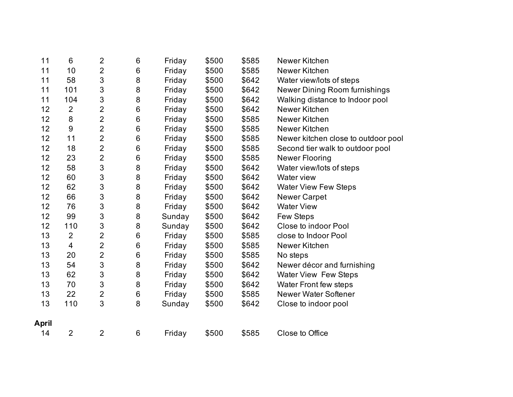| 11           | $6\phantom{1}6$         | $\overline{2}$ | 6     | Friday | \$500 | \$585 | Newer Kitchen                       |
|--------------|-------------------------|----------------|-------|--------|-------|-------|-------------------------------------|
| 11           | 10                      | $\overline{2}$ | 6     | Friday | \$500 | \$585 | Newer Kitchen                       |
| 11           | 58                      | 3              | 8     | Friday | \$500 | \$642 | Water view/lots of steps            |
| 11           | 101                     | 3              | 8     | Friday | \$500 | \$642 | Newer Dining Room furnishings       |
| 11           | 104                     | 3              | 8     | Friday | \$500 | \$642 | Walking distance to Indoor pool     |
| 12           | $\overline{2}$          | $\overline{2}$ | 6     | Friday | \$500 | \$642 | Newer Kitchen                       |
| 12           | 8                       | $\overline{2}$ | $\,6$ | Friday | \$500 | \$585 | Newer Kitchen                       |
| 12           | 9                       | $\overline{2}$ | 6     | Friday | \$500 | \$585 | Newer Kitchen                       |
| 12           | 11                      | $\overline{2}$ | $\,6$ | Friday | \$500 | \$585 | Newer kitchen close to outdoor pool |
| 12           | 18                      | $\overline{2}$ | $\,6$ | Friday | \$500 | \$585 | Second tier walk to outdoor pool    |
| 12           | 23                      | $\overline{2}$ | 6     | Friday | \$500 | \$585 | <b>Newer Flooring</b>               |
| 12           | 58                      | 3              | 8     | Friday | \$500 | \$642 | Water view/lots of steps            |
| 12           | 60                      | 3              | 8     | Friday | \$500 | \$642 | Water view                          |
| 12           | 62                      | 3              | 8     | Friday | \$500 | \$642 | <b>Water View Few Steps</b>         |
| 12           | 66                      | 3              | 8     | Friday | \$500 | \$642 | <b>Newer Carpet</b>                 |
| 12           | 76                      | 3              | 8     | Friday | \$500 | \$642 | <b>Water View</b>                   |
| 12           | 99                      | 3              | 8     | Sunday | \$500 | \$642 | Few Steps                           |
| 12           | 110                     | 3              | 8     | Sunday | \$500 | \$642 | <b>Close to indoor Pool</b>         |
| 13           | $\overline{2}$          | $\overline{2}$ | 6     | Friday | \$500 | \$585 | close to Indoor Pool                |
| 13           | $\overline{\mathbf{4}}$ | $\overline{2}$ | $\,6$ | Friday | \$500 | \$585 | Newer Kitchen                       |
| 13           | 20                      | $\overline{2}$ | 6     | Friday | \$500 | \$585 | No steps                            |
| 13           | 54                      | 3              | 8     | Friday | \$500 | \$642 | Newer décor and furnishing          |
| 13           | 62                      | 3              | 8     | Friday | \$500 | \$642 | <b>Water View Few Steps</b>         |
| 13           | 70                      | 3              | 8     | Friday | \$500 | \$642 | <b>Water Front few steps</b>        |
| 13           | 22                      | $\overline{2}$ | $\,6$ | Friday | \$500 | \$585 | <b>Newer Water Softener</b>         |
| 13           | 110                     | 3              | 8     | Sunday | \$500 | \$642 | Close to indoor pool                |
|              |                         |                |       |        |       |       |                                     |
| <b>April</b> |                         |                |       |        |       |       |                                     |
| 14           | $\overline{2}$          | $\overline{2}$ | 6     | Friday | \$500 | \$585 | Close to Office                     |
|              |                         |                |       |        |       |       |                                     |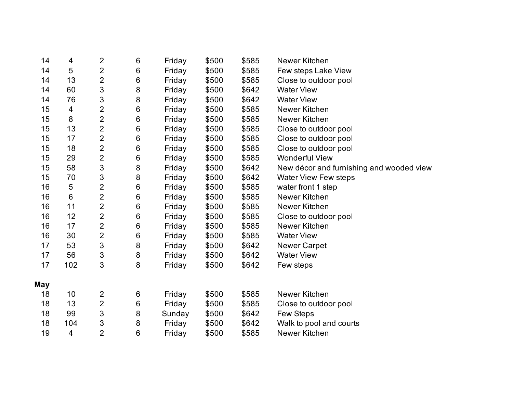| 14  | 4                        | $\overline{2}$            | 6       | Friday | \$500 | \$585 | Newer Kitchen                            |
|-----|--------------------------|---------------------------|---------|--------|-------|-------|------------------------------------------|
| 14  | 5                        | $\overline{2}$            | 6       | Friday | \$500 | \$585 | Few steps Lake View                      |
| 14  | 13                       | $\overline{2}$            | $\,6$   | Friday | \$500 | \$585 | Close to outdoor pool                    |
| 14  | 60                       | $\ensuremath{\mathsf{3}}$ | 8       | Friday | \$500 | \$642 | <b>Water View</b>                        |
| 14  | 76                       | 3                         | 8       | Friday | \$500 | \$642 | <b>Water View</b>                        |
| 15  | $\overline{\mathcal{A}}$ | $\overline{2}$            | $\,6$   | Friday | \$500 | \$585 | Newer Kitchen                            |
| 15  | 8                        | $\overline{2}$            | 6       | Friday | \$500 | \$585 | Newer Kitchen                            |
| 15  | 13                       | $\overline{2}$            | $\,6$   | Friday | \$500 | \$585 | Close to outdoor pool                    |
| 15  | 17                       | $\overline{2}$            | $\,6$   | Friday | \$500 | \$585 | Close to outdoor pool                    |
| 15  | 18                       | 2                         | $\,6$   | Friday | \$500 | \$585 | Close to outdoor pool                    |
| 15  | 29                       | $\overline{2}$            | $\,6$   | Friday | \$500 | \$585 | <b>Wonderful View</b>                    |
| 15  | 58                       | $\mathfrak{S}$            | 8       | Friday | \$500 | \$642 | New décor and furnishing and wooded view |
| 15  | 70                       | $\sqrt{3}$                | $\bf 8$ | Friday | \$500 | \$642 | <b>Water View Few steps</b>              |
| 16  | 5                        | $\overline{2}$            | $\,6$   | Friday | \$500 | \$585 | water front 1 step                       |
| 16  | 6                        | $\overline{2}$            | $\,6$   | Friday | \$500 | \$585 | Newer Kitchen                            |
| 16  | 11                       | $\overline{2}$            | $\,6$   | Friday | \$500 | \$585 | Newer Kitchen                            |
| 16  | 12                       | $\overline{2}$            | $\,6$   | Friday | \$500 | \$585 | Close to outdoor pool                    |
| 16  | 17                       | $\overline{2}$            | $\,6$   | Friday | \$500 | \$585 | Newer Kitchen                            |
| 16  | 30                       | $\overline{2}$            | $\,6$   | Friday | \$500 | \$585 | <b>Water View</b>                        |
| 17  | 53                       | $\sqrt{3}$                | $\bf 8$ | Friday | \$500 | \$642 | <b>Newer Carpet</b>                      |
| 17  | 56                       | $\sqrt{3}$                | $\bf 8$ | Friday | \$500 | \$642 | <b>Water View</b>                        |
| 17  | 102                      | 3                         | 8       | Friday | \$500 | \$642 | Few steps                                |
| May |                          |                           |         |        |       |       |                                          |
| 18  | 10                       | $\overline{2}$            | 6       | Friday | \$500 | \$585 | Newer Kitchen                            |
| 18  | 13                       | $\overline{2}$            | $\,6$   | Friday | \$500 | \$585 | Close to outdoor pool                    |
| 18  | 99                       | 3                         | $\bf 8$ | Sunday | \$500 | \$642 | Few Steps                                |
| 18  | 104                      | $\sqrt{3}$                | 8       | Friday | \$500 | \$642 | Walk to pool and courts                  |
| 19  | 4                        | $\overline{2}$            | 6       | Friday | \$500 | \$585 | Newer Kitchen                            |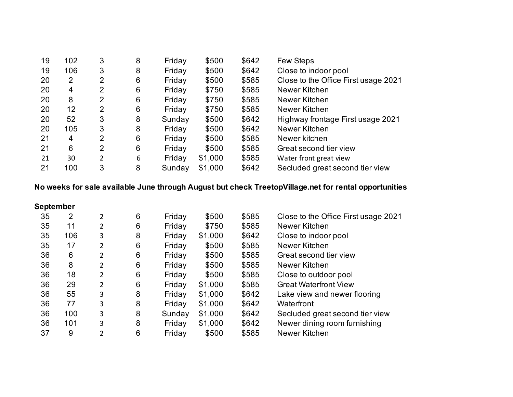| 19 | 102 | 3 | 8 | Friday | \$500   | \$642 | <b>Few Steps</b>                     |
|----|-----|---|---|--------|---------|-------|--------------------------------------|
| 19 | 106 | 3 | 8 | Friday | \$500   | \$642 | Close to indoor pool                 |
| 20 | 2   | 2 | 6 | Friday | \$500   | \$585 | Close to the Office First usage 2021 |
| 20 | 4   | 2 | 6 | Friday | \$750   | \$585 | Newer Kitchen                        |
| 20 | 8   | 2 | 6 | Friday | \$750   | \$585 | Newer Kitchen                        |
| 20 | 12  | 2 | 6 | Friday | \$750   | \$585 | Newer Kitchen                        |
| 20 | 52  | 3 | 8 | Sunday | \$500   | \$642 | Highway frontage First usage 2021    |
| 20 | 105 | 3 | 8 | Friday | \$500   | \$642 | Newer Kitchen                        |
| 21 | 4   | 2 | 6 | Friday | \$500   | \$585 | Newer kitchen                        |
| 21 | 6   | 2 | 6 | Friday | \$500   | \$585 | Great second tier view               |
| 21 | 30  | 2 | 6 | Friday | \$1,000 | \$585 | Water front great view               |
| 21 | 100 | 3 | 8 | Sunday | \$1,000 | \$642 | Secluded great second tier view      |

# **No weeks for sale available June through August but check TreetopVillage.net for rental opportunities**

| <b>September</b> |     |                |   |        |         |       |                                      |
|------------------|-----|----------------|---|--------|---------|-------|--------------------------------------|
| 35               | 2   | 2              | 6 | Friday | \$500   | \$585 | Close to the Office First usage 2021 |
| 35               | 11  | 2              | 6 | Friday | \$750   | \$585 | Newer Kitchen                        |
| 35               | 106 | 3              | 8 | Friday | \$1,000 | \$642 | Close to indoor pool                 |
| 35               | 17  | $\overline{2}$ | 6 | Friday | \$500   | \$585 | Newer Kitchen                        |
| 36               | 6   | $\overline{2}$ | 6 | Friday | \$500   | \$585 | Great second tier view               |
| 36               | 8   | $\overline{2}$ | 6 | Friday | \$500   | \$585 | Newer Kitchen                        |
| 36               | 18  | $\overline{2}$ | 6 | Friday | \$500   | \$585 | Close to outdoor pool                |
| 36               | 29  | 2              | 6 | Friday | \$1,000 | \$585 | <b>Great Waterfront View</b>         |
| 36               | 55  | 3              | 8 | Friday | \$1,000 | \$642 | Lake view and newer flooring         |
| 36               | 77  | 3              | 8 | Friday | \$1,000 | \$642 | Waterfront                           |
| 36               | 100 | 3              | 8 | Sunday | \$1,000 | \$642 | Secluded great second tier view      |
| 36               | 101 | 3              | 8 | Friday | \$1,000 | \$642 | Newer dining room furnishing         |
| 37               | 9   | $\overline{2}$ | 6 | Friday | \$500   | \$585 | Newer Kitchen                        |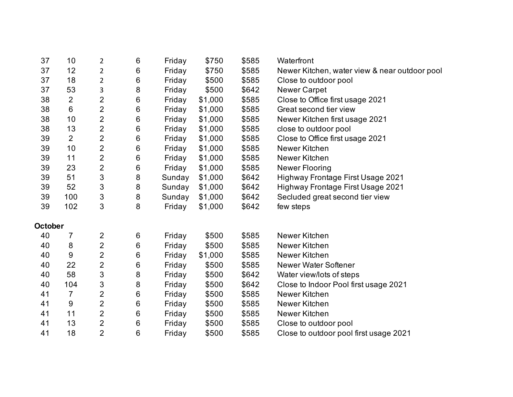| 37      | 10             | 2                       | 6 | Friday | \$750   | \$585 | Waterfront                                    |
|---------|----------------|-------------------------|---|--------|---------|-------|-----------------------------------------------|
| 37      | 12             | $\overline{2}$          | 6 | Friday | \$750   | \$585 | Newer Kitchen, water view & near outdoor pool |
| 37      | 18             | $\overline{\mathbf{c}}$ | 6 | Friday | \$500   | \$585 | Close to outdoor pool                         |
| 37      | 53             | 3                       | 8 | Friday | \$500   | \$642 | <b>Newer Carpet</b>                           |
| 38      | $\overline{2}$ | 2                       | 6 | Friday | \$1,000 | \$585 | Close to Office first usage 2021              |
| 38      | 6              | $\overline{2}$          | 6 | Friday | \$1,000 | \$585 | Great second tier view                        |
| 38      | 10             | 2                       | 6 | Friday | \$1,000 | \$585 | Newer Kitchen first usage 2021                |
| 38      | 13             | 2                       | 6 | Friday | \$1,000 | \$585 | close to outdoor pool                         |
| 39      | $\overline{2}$ | $\overline{2}$          | 6 | Friday | \$1,000 | \$585 | Close to Office first usage 2021              |
| 39      | 10             | $\overline{2}$          | 6 | Friday | \$1,000 | \$585 | Newer Kitchen                                 |
| 39      | 11             | $\overline{2}$          | 6 | Friday | \$1,000 | \$585 | Newer Kitchen                                 |
| 39      | 23             | $\overline{2}$          | 6 | Friday | \$1,000 | \$585 | <b>Newer Flooring</b>                         |
| 39      | 51             | 3                       | 8 | Sunday | \$1,000 | \$642 | Highway Frontage First Usage 2021             |
| 39      | 52             | 3                       | 8 | Sunday | \$1,000 | \$642 | Highway Frontage First Usage 2021             |
| 39      | 100            | 3                       | 8 | Sunday | \$1,000 | \$642 | Secluded great second tier view               |
| 39      | 102            | 3                       | 8 | Friday | \$1,000 | \$642 | few steps                                     |
| October |                |                         |   |        |         |       |                                               |
| 40      | 7              | 2                       | 6 | Friday | \$500   | \$585 | Newer Kitchen                                 |
| 40      | 8              | $\overline{2}$          | 6 | Friday | \$500   | \$585 | Newer Kitchen                                 |
| 40      | $9\,$          | $\overline{2}$          | 6 | Friday | \$1,000 | \$585 | Newer Kitchen                                 |
| 40      | 22             | $\overline{2}$          | 6 | Friday | \$500   | \$585 | <b>Newer Water Softener</b>                   |
| 40      | 58             | 3                       | 8 | Friday | \$500   | \$642 | Water view/lots of steps                      |
| 40      | 104            | 3                       | 8 | Friday | \$500   | \$642 | Close to Indoor Pool first usage 2021         |
| 41      | $\overline{7}$ | $\overline{2}$          | 6 | Friday | \$500   | \$585 | Newer Kitchen                                 |
| 41      | $9\,$          | $\overline{2}$          | 6 | Friday | \$500   | \$585 | Newer Kitchen                                 |
| 41      | 11             | $\overline{2}$          | 6 | Friday | \$500   | \$585 | Newer Kitchen                                 |
| 41      | 13             | 2                       | 6 | Friday | \$500   | \$585 | Close to outdoor pool                         |
| 41      | 18             | $\overline{2}$          | 6 | Friday | \$500   | \$585 | Close to outdoor pool first usage 2021        |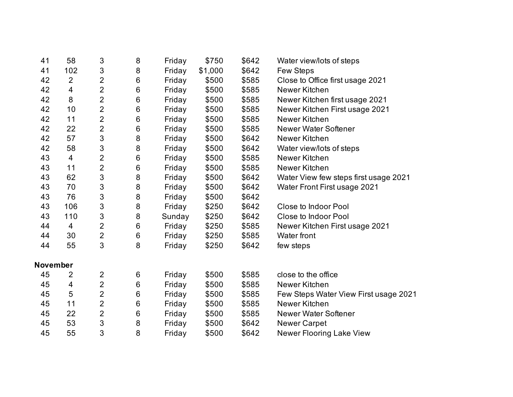| 41              | 58             | 3                         | 8     | Friday | \$750   | \$642 | Water view/lots of steps              |
|-----------------|----------------|---------------------------|-------|--------|---------|-------|---------------------------------------|
| 41              | 102            | 3                         | 8     | Friday | \$1,000 | \$642 | Few Steps                             |
| 42              | $\overline{2}$ | $\overline{2}$            | 6     | Friday | \$500   | \$585 | Close to Office first usage 2021      |
| 42              | $\overline{4}$ | $\overline{2}$            | 6     | Friday | \$500   | \$585 | Newer Kitchen                         |
| 42              | 8              | $\overline{2}$            | 6     | Friday | \$500   | \$585 | Newer Kitchen first usage 2021        |
| 42              | 10             | $\overline{2}$            | $\,6$ | Friday | \$500   | \$585 | Newer Kitchen First usage 2021        |
| 42              | 11             | $\overline{2}$            | 6     | Friday | \$500   | \$585 | Newer Kitchen                         |
| 42              | 22             | $\overline{2}$            | 6     | Friday | \$500   | \$585 | Newer Water Softener                  |
| 42              | 57             | 3                         | 8     | Friday | \$500   | \$642 | Newer Kitchen                         |
| 42              | 58             | 3                         | 8     | Friday | \$500   | \$642 | Water view/lots of steps              |
| 43              | $\overline{4}$ | $\overline{2}$            | 6     | Friday | \$500   | \$585 | Newer Kitchen                         |
| 43              | 11             | $\overline{2}$            | 6     | Friday | \$500   | \$585 | Newer Kitchen                         |
| 43              | 62             | 3                         | 8     | Friday | \$500   | \$642 | Water View few steps first usage 2021 |
| 43              | 70             | 3                         | 8     | Friday | \$500   | \$642 | Water Front First usage 2021          |
| 43              | 76             | 3                         | 8     | Friday | \$500   | \$642 |                                       |
| 43              | 106            | $\ensuremath{\mathsf{3}}$ | 8     | Friday | \$250   | \$642 | <b>Close to Indoor Pool</b>           |
| 43              | 110            | 3                         | 8     | Sunday | \$250   | \$642 | Close to Indoor Pool                  |
| 44              | $\overline{4}$ | $\overline{2}$            | 6     | Friday | \$250   | \$585 | Newer Kitchen First usage 2021        |
| 44              | 30             | $\overline{2}$            | 6     | Friday | \$250   | \$585 | Water front                           |
| 44              | 55             | 3                         | 8     | Friday | \$250   | \$642 | few steps                             |
| <b>November</b> |                |                           |       |        |         |       |                                       |
| 45              | 2              | $\mathbf 2$               | 6     | Friday | \$500   | \$585 | close to the office                   |
| 45              | 4              | $\overline{2}$            | 6     | Friday | \$500   | \$585 | Newer Kitchen                         |
| 45              | 5              | $\overline{2}$            | 6     | Friday | \$500   | \$585 | Few Steps Water View First usage 2021 |
| 45              | 11             | $\overline{2}$            | 6     | Friday | \$500   | \$585 | Newer Kitchen                         |
| 45              | 22             | $\overline{2}$            | $\,6$ | Friday | \$500   | \$585 | Newer Water Softener                  |
| 45              | 53             | 3                         | 8     | Friday | \$500   | \$642 | <b>Newer Carpet</b>                   |
| 45              | 55             | 3                         | 8     | Friday | \$500   | \$642 | Newer Flooring Lake View              |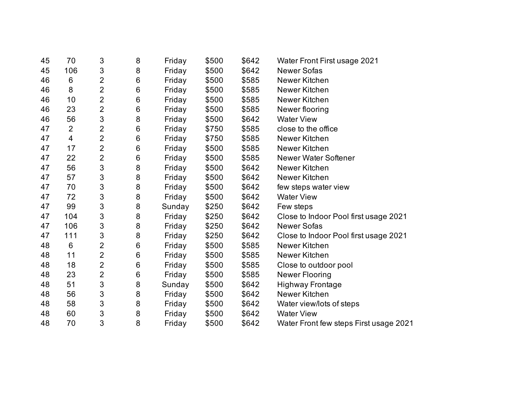| 70             | 3                         | 8       | Friday | \$500 | \$642 | Water Front First usage 2021           |
|----------------|---------------------------|---------|--------|-------|-------|----------------------------------------|
| 106            | 3                         | $\bf 8$ | Friday | \$500 | \$642 | <b>Newer Sofas</b>                     |
| 6              | $\overline{2}$            | $\,6$   | Friday | \$500 | \$585 | Newer Kitchen                          |
| 8              | $\overline{2}$            | $\,6$   | Friday | \$500 | \$585 | Newer Kitchen                          |
| 10             | 2                         | $\,6$   | Friday | \$500 | \$585 | Newer Kitchen                          |
| 23             | $\overline{2}$            | $\,6$   | Friday | \$500 | \$585 | Newer flooring                         |
| 56             | $\sqrt{3}$                | $\bf 8$ | Friday | \$500 | \$642 | <b>Water View</b>                      |
| $\overline{2}$ | $\overline{2}$            | $\,6$   | Friday | \$750 | \$585 | close to the office                    |
| 4              | $\overline{2}$            | $\,6$   | Friday | \$750 | \$585 | Newer Kitchen                          |
| 17             | $\overline{2}$            | $\,6$   | Friday | \$500 | \$585 | Newer Kitchen                          |
| 22             | $\overline{2}$            | $\,6$   | Friday | \$500 | \$585 | Newer Water Softener                   |
| 56             | $\sqrt{3}$                | $\bf 8$ | Friday | \$500 | \$642 | Newer Kitchen                          |
| 57             | $\sqrt{3}$                | $\bf 8$ | Friday | \$500 | \$642 | Newer Kitchen                          |
| 70             | 3                         | $\bf 8$ | Friday | \$500 | \$642 | few steps water view                   |
| 72             | $\sqrt{3}$                | $\bf 8$ | Friday | \$500 | \$642 | <b>Water View</b>                      |
| 99             | $\sqrt{3}$                | $\bf 8$ | Sunday | \$250 | \$642 | Few steps                              |
| 104            | $\sqrt{3}$                | $\bf 8$ | Friday | \$250 | \$642 | Close to Indoor Pool first usage 2021  |
| 106            | $\ensuremath{\mathsf{3}}$ | $\bf 8$ | Friday | \$250 | \$642 | <b>Newer Sofas</b>                     |
| 111            | 3                         | $\bf 8$ | Friday | \$250 | \$642 | Close to Indoor Pool first usage 2021  |
| 6              | $\overline{2}$            | $\,6$   | Friday | \$500 | \$585 | Newer Kitchen                          |
| 11             | $\overline{2}$            | $\,6$   | Friday | \$500 | \$585 | Newer Kitchen                          |
| 18             | $\overline{2}$            | $\,6$   | Friday | \$500 | \$585 | Close to outdoor pool                  |
| 23             | $\overline{2}$            | $\,6$   | Friday | \$500 | \$585 | Newer Flooring                         |
| 51             | $\sqrt{3}$                | 8       | Sunday | \$500 | \$642 | <b>Highway Frontage</b>                |
| 56             | $\sqrt{3}$                | $\bf 8$ | Friday | \$500 | \$642 | Newer Kitchen                          |
| 58             | $\mathfrak{S}$            | $\bf 8$ | Friday | \$500 | \$642 | Water view/lots of steps               |
| 60             | $\ensuremath{\mathsf{3}}$ | $\bf 8$ | Friday | \$500 | \$642 | <b>Water View</b>                      |
| 70             | 3                         | 8       | Friday | \$500 | \$642 | Water Front few steps First usage 2021 |
|                |                           |         |        |       |       |                                        |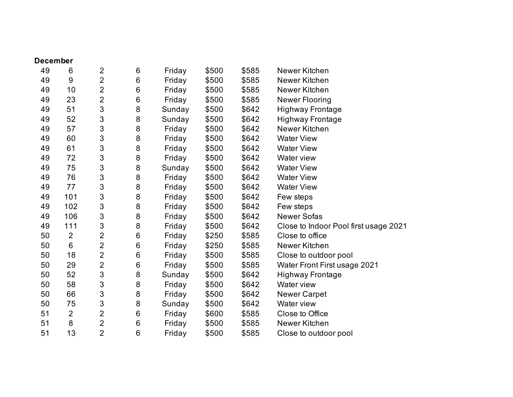| <b>December</b> |                |                           |       |        |       |       |                                       |
|-----------------|----------------|---------------------------|-------|--------|-------|-------|---------------------------------------|
| 49              | 6              | $\overline{2}$            | $\,6$ | Friday | \$500 | \$585 | Newer Kitchen                         |
| 49              | 9              | $\overline{2}$            | $\,6$ | Friday | \$500 | \$585 | Newer Kitchen                         |
| 49              | 10             | 2                         | 6     | Friday | \$500 | \$585 | Newer Kitchen                         |
| 49              | 23             | 2                         | 6     | Friday | \$500 | \$585 | <b>Newer Flooring</b>                 |
| 49              | 51             | $\ensuremath{\mathsf{3}}$ | 8     | Sunday | \$500 | \$642 | <b>Highway Frontage</b>               |
| 49              | 52             | 3                         | 8     | Sunday | \$500 | \$642 | <b>Highway Frontage</b>               |
| 49              | 57             | 3                         | 8     | Friday | \$500 | \$642 | Newer Kitchen                         |
| 49              | 60             | 3                         | 8     | Friday | \$500 | \$642 | <b>Water View</b>                     |
| 49              | 61             | 3                         | 8     | Friday | \$500 | \$642 | <b>Water View</b>                     |
| 49              | 72             | 3                         | 8     | Friday | \$500 | \$642 | Water view                            |
| 49              | 75             | 3                         | 8     | Sunday | \$500 | \$642 | <b>Water View</b>                     |
| 49              | 76             | $\sqrt{3}$                | 8     | Friday | \$500 | \$642 | <b>Water View</b>                     |
| 49              | 77             | 3                         | 8     | Friday | \$500 | \$642 | <b>Water View</b>                     |
| 49              | 101            | 3                         | 8     | Friday | \$500 | \$642 | Few steps                             |
| 49              | 102            | 3                         | 8     | Friday | \$500 | \$642 | Few steps                             |
| 49              | 106            | $\sqrt{3}$                | 8     | Friday | \$500 | \$642 | <b>Newer Sofas</b>                    |
| 49              | 111            | 3                         | 8     | Friday | \$500 | \$642 | Close to Indoor Pool first usage 2021 |
| 50              | $\overline{2}$ | $\overline{2}$            | 6     | Friday | \$250 | \$585 | Close to office                       |
| 50              | 6              | $\overline{2}$            | 6     | Friday | \$250 | \$585 | Newer Kitchen                         |
| 50              | 18             | $\overline{2}$            | $\,6$ | Friday | \$500 | \$585 | Close to outdoor pool                 |
| 50              | 29             | $\overline{2}$            | 6     | Friday | \$500 | \$585 | Water Front First usage 2021          |
| 50              | 52             | 3                         | 8     | Sunday | \$500 | \$642 | <b>Highway Frontage</b>               |
| 50              | 58             | 3                         | 8     | Friday | \$500 | \$642 | Water view                            |
| 50              | 66             | 3                         | 8     | Friday | \$500 | \$642 | <b>Newer Carpet</b>                   |
| 50              | 75             | $\ensuremath{\mathsf{3}}$ | 8     | Sunday | \$500 | \$642 | <b>Water view</b>                     |
| 51              | $\overline{2}$ | $\overline{2}$            | 6     | Friday | \$600 | \$585 | Close to Office                       |
| 51              | 8              | 2                         | 6     | Friday | \$500 | \$585 | Newer Kitchen                         |
| 51              | 13             | $\overline{2}$            | 6     | Friday | \$500 | \$585 | Close to outdoor pool                 |